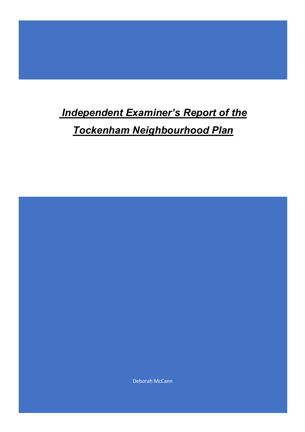# *Independent Examiner's Report of the*

*Tockenham Neighbourhood Plan*

Deborah McCann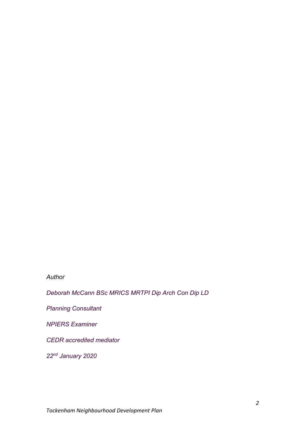## *Author*

*Deborah McCann BSc MRICS MRTPI Dip Arch Con Dip LD*

*Planning Consultant*

*NPIERS Examiner*

*CEDR accredited mediator*

*22nd January 2020*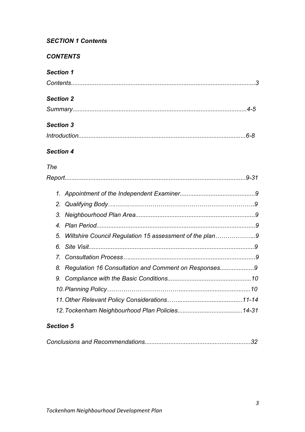# *SECTION 1 Contents*

# *CONTENTS*

# *Section 1*

| <b>Section 2</b> |  |
|------------------|--|
|                  |  |
| <b>Section 3</b> |  |
|                  |  |

# *Section 4*

# *The*

| 5. Wiltshire Council Regulation 15 assessment of the plan9 |  |
|------------------------------------------------------------|--|
|                                                            |  |
|                                                            |  |
| 8. Regulation 16 Consultation and Comment on Responses9    |  |
|                                                            |  |
|                                                            |  |
|                                                            |  |
|                                                            |  |

# *Section 5*

|--|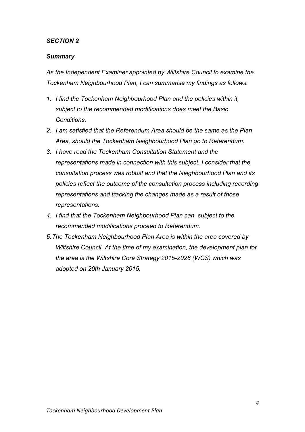## *SECTION 2*

## *Summary*

*As the Independent Examiner appointed by Wiltshire Council to examine the Tockenham Neighbourhood Plan, I can summarise my findings as follows:*

- *1. I find the Tockenham Neighbourhood Plan and the policies within it, subject to the recommended modifications does meet the Basic Conditions.*
- *2. I am satisfied that the Referendum Area should be the same as the Plan Area, should the Tockenham Neighbourhood Plan go to Referendum.*
- *3. I have read the Tockenham Consultation Statement and the representations made in connection with this subject. I consider that the consultation process was robust and that the Neighbourhood Plan and its policies reflect the outcome of the consultation process including recording representations and tracking the changes made as a result of those representations.*
- *4. I find that the Tockenham Neighbourhood Plan can, subject to the recommended modifications proceed to Referendum.*
- *5.The Tockenham Neighbourhood Plan Area is within the area covered by Wiltshire Council. At the time of my examination, the development plan for the area is the Wiltshire Core Strategy 2015-2026 (WCS) which was adopted on 20th January 2015.*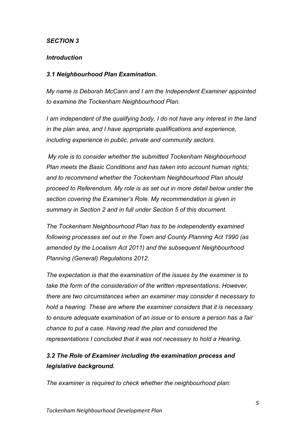## *SECTION 3*

## *Introduction*

## *3.1 Neighbourhood Plan Examination.*

*My name is Deborah McCann and I am the Independent Examiner appointed to examine the Tockenham Neighbourhood Plan.*

*I am independent of the qualifying body, I do not have any interest in the land in the plan area, and I have appropriate qualifications and experience, including experience in public, private and community sectors.*

*My role is to consider whether the submitted Tockenham Neighbourhood Plan meets the Basic Conditions and has taken into account human rights; and to recommend whether the Tockenham Neighbourhood Plan should proceed to Referendum. My role is as set out in more detail below under the section covering the Examiner's Role. My recommendation is given in summary in Section 2 and in full under Section 5 of this document.*

*The Tockenham Neighbourhood Plan has to be independently examined following processes set out in the Town and County Planning Act 1990 (as amended by the Localism Act 2011) and the subsequent Neighbourhood Planning (General) Regulations 2012.*

*The expectation is that the examination of the issues by the examiner is to take the form of the consideration of the written representations. However, there are two circumstances when an examiner may consider it necessary to hold a hearing. These are where the examiner considers that it is necessary to ensure adequate examination of an issue or to ensure a person has a fair chance to put a case. Having read the plan and considered the representations I concluded that it was not necessary to hold a Hearing.* 

# *3.2 The Role of Examiner including the examination process and legislative background.*

*The examiner is required to check whether the neighbourhood plan:*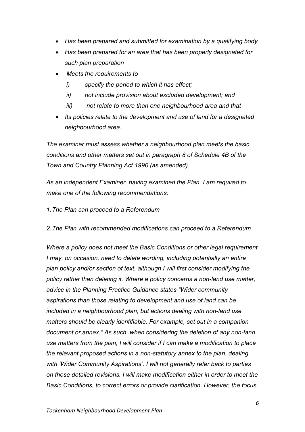- *Has been prepared and submitted for examination by a qualifying body*
- *Has been prepared for an area that has been properly designated for such plan preparation*
- *Meets the requirements to*
	- *i) specify the period to which it has effect;*
	- *ii) not include provision about excluded development; and*
	- *iii) not relate to more than one neighbourhood area and that*
- *Its policies relate to the development and use of land for a designated neighbourhood area.*

*The examiner must assess whether a neighbourhood plan meets the basic conditions and other matters set out in paragraph 8 of Schedule 4B of the Town and Country Planning Act 1990 (as amended).* 

*As an independent Examiner, having examined the Plan, I am required to make one of the following recommendations:*

*1.The Plan can proceed to a Referendum* 

*2.The Plan with recommended modifications can proceed to a Referendum* 

*Where a policy does not meet the Basic Conditions or other legal requirement I* may, on occasion, need to delete wording, including potentially an entire *plan policy and/or section of text, although I will first consider modifying the policy rather than deleting it. Where a policy concerns a non-land use matter, advice in the Planning Practice Guidance states "Wider community aspirations than those relating to development and use of land can be included in a neighbourhood plan, but actions dealing with non-land use matters should be clearly identifiable. For example, set out in a companion document or annex." As such, when considering the deletion of any non-land use matters from the plan, I will consider if I can make a modification to place the relevant proposed actions in a non-statutory annex to the plan, dealing with 'Wider Community Aspirations'. I will not generally refer back to parties on these detailed revisions. I will make modification either in order to meet the Basic Conditions, to correct errors or provide clarification. However, the focus*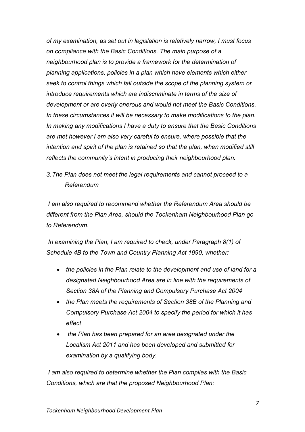*of my examination, as set out in legislation is relatively narrow, I must focus on compliance with the Basic Conditions. The main purpose of a neighbourhood plan is to provide a framework for the determination of planning applications, policies in a plan which have elements which either seek to control things which fall outside the scope of the planning system or introduce requirements which are indiscriminate in terms of the size of development or are overly onerous and would not meet the Basic Conditions. In these circumstances it will be necessary to make modifications to the plan. In making any modifications I have a duty to ensure that the Basic Conditions are met however I am also very careful to ensure, where possible that the intention and spirit of the plan is retained so that the plan, when modified still reflects the community's intent in producing their neighbourhood plan.*

*3.The Plan does not meet the legal requirements and cannot proceed to a Referendum* 

*I am also required to recommend whether the Referendum Area should be different from the Plan Area, should the Tockenham Neighbourhood Plan go to Referendum.* 

*In examining the Plan, I am required to check, under Paragraph 8(1) of Schedule 4B to the Town and Country Planning Act 1990, whether:* 

- *the policies in the Plan relate to the development and use of land for a designated Neighbourhood Area are in line with the requirements of Section 38A of the Planning and Compulsory Purchase Act 2004*
- *the Plan meets the requirements of Section 38B of the Planning and Compulsory Purchase Act 2004 to specify the period for which it has effect*
- *the Plan has been prepared for an area designated under the Localism Act 2011 and has been developed and submitted for examination by a qualifying body.*

*I am also required to determine whether the Plan complies with the Basic Conditions, which are that the proposed Neighbourhood Plan:*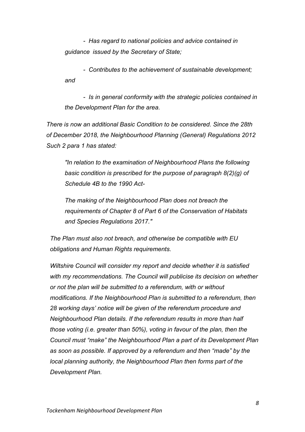*- Has regard to national policies and advice contained in guidance issued by the Secretary of State;* 

*- Contributes to the achievement of sustainable development; and* 

*- Is in general conformity with the strategic policies contained in the Development Plan for the area.* 

*There is now an additional Basic Condition to be considered. Since the 28th of December 2018, the Neighbourhood Planning (General) Regulations 2012 Such 2 para 1 has stated:*

*"In relation to the examination of Neighbourhood Plans the following basic condition is prescribed for the purpose of paragraph 8(2)(g) of Schedule 4B to the 1990 Act-*

*The making of the Neighbourhood Plan does not breach the requirements of Chapter 8 of Part 6 of the Conservation of Habitats and Species Regulations 2017."*

*The Plan must also not breach, and otherwise be compatible with EU obligations and Human Rights requirements.*

*Wiltshire Council will consider my report and decide whether it is satisfied with my recommendations. The Council will publicise its decision on whether or not the plan will be submitted to a referendum, with or without modifications. If the Neighbourhood Plan is submitted to a referendum, then 28 working days' notice will be given of the referendum procedure and Neighbourhood Plan details. If the referendum results in more than half those voting (i.e. greater than 50%), voting in favour of the plan, then the Council must "make" the Neighbourhood Plan a part of its Development Plan as soon as possible. If approved by a referendum and then "made" by the local planning authority, the Neighbourhood Plan then forms part of the Development Plan.*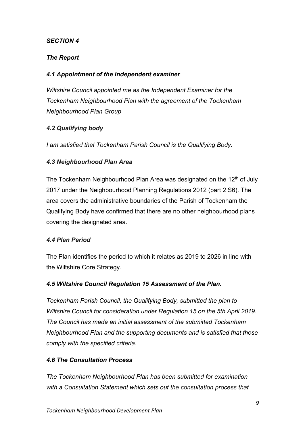## *SECTION 4*

## *The Report*

## *4.1 Appointment of the Independent examiner*

*Wiltshire Council appointed me as the Independent Examiner for the Tockenham Neighbourhood Plan with the agreement of the Tockenham Neighbourhood Plan Group*

## *4.2 Qualifying body*

*I am satisfied that Tockenham Parish Council is the Qualifying Body.* 

## *4.3 Neighbourhood Plan Area*

The Tockenham Neighbourhood Plan Area was designated on the 12<sup>th</sup> of July 2017 under the Neighbourhood Planning Regulations 2012 (part 2 S6). The area covers the administrative boundaries of the Parish of Tockenham the Qualifying Body have confirmed that there are no other neighbourhood plans covering the designated area.

## *4.4 Plan Period*

The Plan identifies the period to which it relates as 2019 to 2026 in line with the Wiltshire Core Strategy.

## *4.5 Wiltshire Council Regulation 15 Assessment of the Plan.*

*Tockenham Parish Council, the Qualifying Body, submitted the plan to Wiltshire Council for consideration under Regulation 15 on the 5th April 2019. The Council has made an initial assessment of the submitted Tockenham Neighbourhood Plan and the supporting documents and is satisfied that these comply with the specified criteria.*

## *4.6 The Consultation Process*

*The Tockenham Neighbourhood Plan has been submitted for examination with a Consultation Statement which sets out the consultation process that*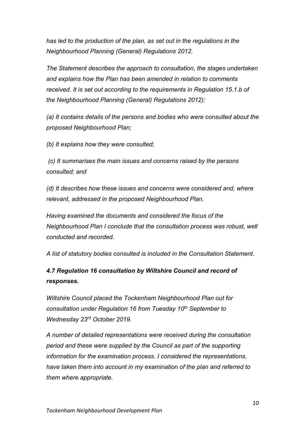*has led to the production of the plan, as set out in the regulations in the Neighbourhood Planning (General) Regulations 2012.*

*The Statement describes the approach to consultation, the stages undertaken and explains how the Plan has been amended in relation to comments received. It is set out according to the requirements in Regulation 15.1.b of the Neighbourhood Planning (General) Regulations 2012):*

*(a) It contains details of the persons and bodies who were consulted about the proposed Neighbourhood Plan;*

*(b) It explains how they were consulted;*

*(c) It summarises the main issues and concerns raised by the persons consulted; and*

*(d) It describes how these issues and concerns were considered and, where relevant, addressed in the proposed Neighbourhood Plan.*

*Having examined the documents and considered the focus of the Neighbourhood Plan I conclude that the consultation process was robust, well conducted and recorded.*

*A list of statutory bodies consulted is included in the Consultation Statement.*

# *4.7 Regulation 16 consultation by Wiltshire Council and record of responses.*

*Wiltshire Council placed the Tockenham Neighbourhood Plan out for consultation under Regulation 16 from Tuesday 10th September to Wednesday 23rd October 2019.*

*A number of detailed representations were received during the consultation period and these were supplied by the Council as part of the supporting information for the examination process. I considered the representations, have taken them into account in my examination of the plan and referred to them where appropriate.*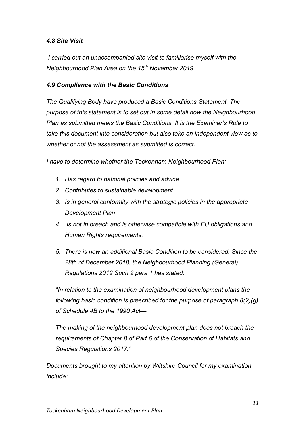## *4.8 Site Visit*

*I carried out an unaccompanied site visit to familiarise myself with the Neighbourhood Plan Area on the 15th November 2019.*

## *4.9 Compliance with the Basic Conditions*

*The Qualifying Body have produced a Basic Conditions Statement. The purpose of this statement is to set out in some detail how the Neighbourhood Plan as submitted meets the Basic Conditions. It is the Examiner's Role to take this document into consideration but also take an independent view as to whether or not the assessment as submitted is correct.*

*I have to determine whether the Tockenham Neighbourhood Plan:* 

- *1. Has regard to national policies and advice*
- *2. Contributes to sustainable development*
- *3. Is in general conformity with the strategic policies in the appropriate Development Plan*
- *4. Is not in breach and is otherwise compatible with EU obligations and Human Rights requirements.*
- *5. There is now an additional Basic Condition to be considered. Since the 28th of December 2018, the Neighbourhood Planning (General) Regulations 2012 Such 2 para 1 has stated:*

*"In relation to the examination of neighbourhood development plans the following basic condition is prescribed for the purpose of paragraph 8(2)(g) of Schedule 4B to the 1990 Act—*

*The making of the neighbourhood development plan does not breach the requirements of Chapter 8 of Part 6 of the Conservation of Habitats and Species Regulations 2017."*

*Documents brought to my attention by Wiltshire Council for my examination include:*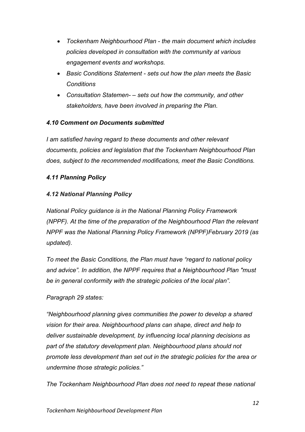- *Tockenham Neighbourhood Plan - the main document which includes policies developed in consultation with the community at various engagement events and workshops.*
- *Basic Conditions Statement - sets out how the plan meets the Basic Conditions*
- *Consultation Statemen- – sets out how the community, and other stakeholders, have been involved in preparing the Plan.*

## *4.10 Comment on Documents submitted*

*I am satisfied having regard to these documents and other relevant documents, policies and legislation that the Tockenham Neighbourhood Plan does, subject to the recommended modifications, meet the Basic Conditions.*

## *4.11 Planning Policy*

## *4.12 National Planning Policy*

*National Policy guidance is in the National Planning Policy Framework (NPPF). At the time of the preparation of the Neighbourhood Plan the relevant NPPF was the National Planning Policy Framework (NPPF)February 2019 (as updated).* 

*To meet the Basic Conditions, the Plan must have "regard to national policy and advice". In addition, the NPPF requires that a Neighbourhood Plan "must be in general conformity with the strategic policies of the local plan".* 

## *Paragraph 29 states:*

*"Neighbourhood planning gives communities the power to develop a shared vision for their area. Neighbourhood plans can shape, direct and help to deliver sustainable development, by influencing local planning decisions as part of the statutory development plan. Neighbourhood plans should not promote less development than set out in the strategic policies for the area or undermine those strategic policies."*

*The Tockenham Neighbourhood Plan does not need to repeat these national*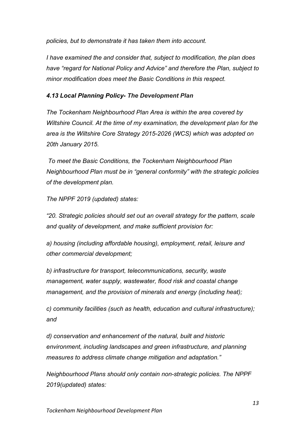*policies, but to demonstrate it has taken them into account.*

*I have examined the and consider that, subject to modification, the plan does have "regard for National Policy and Advice" and therefore the Plan, subject to minor modification does meet the Basic Conditions in this respect.*

## *4.13 Local Planning Policy- The Development Plan*

*The Tockenham Neighbourhood Plan Area is within the area covered by Wiltshire Council. At the time of my examination, the development plan for the area is the Wiltshire Core Strategy 2015-2026 (WCS) which was adopted on 20th January 2015.*

*To meet the Basic Conditions, the Tockenham Neighbourhood Plan Neighbourhood Plan must be in "general conformity" with the strategic policies of the development plan.* 

*The NPPF 2019 (updated) states:*

*"20. Strategic policies should set out an overall strategy for the pattern, scale and quality of development, and make sufficient provision for:*

*a) housing (including affordable housing), employment, retail, leisure and other commercial development;*

*b) infrastructure for transport, telecommunications, security, waste management, water supply, wastewater, flood risk and coastal change management, and the provision of minerals and energy (including heat);*

*c) community facilities (such as health, education and cultural infrastructure); and*

*d) conservation and enhancement of the natural, built and historic environment, including landscapes and green infrastructure, and planning measures to address climate change mitigation and adaptation."*

*Neighbourhood Plans should only contain non-strategic policies. The NPPF 2019(updated) states:*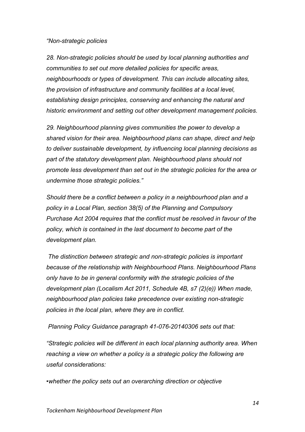#### *"Non-strategic policies*

28. Non-strategic policies should be used by local planning authorities and *communities to set out more detailed policies for specific areas, neighbourhoods or types of development. This can include allocating sites, the provision of infrastructure and community facilities at a local level, establishing design principles, conserving and enhancing the natural and historic environment and setting out other development management policies.*

*29. Neighbourhood planning gives communities the power to develop a shared vision for their area. Neighbourhood plans can shape, direct and help to deliver sustainable development, by influencing local planning decisions as part of the statutory development plan. Neighbourhood plans should not promote less development than set out in the strategic policies for the area or undermine those strategic policies."*

*Should there be a conflict between a policy in a neighbourhood plan and a policy in a Local Plan, section 38(5) of the Planning and Compulsory Purchase Act 2004 requires that the conflict must be resolved in favour of the policy, which is contained in the last document to become part of the development plan.*

*The distinction between strategic and non-strategic policies is important because of the relationship with Neighbourhood Plans. Neighbourhood Plans only have to be in general conformity with the strategic policies of the development plan (Localism Act 2011, Schedule 4B, s7 (2)(e)) When made, neighbourhood plan policies take precedence over existing non-strategic policies in the local plan, where they are in conflict.*

*Planning Policy Guidance paragraph 41-076-20140306 sets out that:* 

*"Strategic policies will be different in each local planning authority area. When reaching a view on whether a policy is a strategic policy the following are useful considerations:*

*•whether the policy sets out an overarching direction or objective*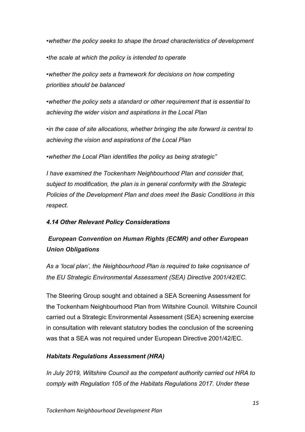*•whether the policy seeks to shape the broad characteristics of development •the scale at which the policy is intended to operate*

*•whether the policy sets a framework for decisions on how competing priorities should be balanced*

*•whether the policy sets a standard or other requirement that is essential to achieving the wider vision and aspirations in the Local Plan*

*•in the case of site allocations, whether bringing the site forward is central to achieving the vision and aspirations of the Local Plan*

*•whether the Local Plan identifies the policy as being strategic"*

*I have examined the Tockenham Neighbourhood Plan and consider that, subject to modification, the plan is in general conformity with the Strategic Policies of the Development Plan and does meet the Basic Conditions in this respect.*

## *4.14 Other Relevant Policy Considerations*

# *European Convention on Human Rights (ECMR) and other European Union Obligations*

*As a 'local plan', the Neighbourhood Plan is required to take cognisance of the EU Strategic Environmental Assessment (SEA) Directive 2001/42/EC.* 

The Steering Group sought and obtained a SEA Screening Assessment for the Tockenham Neighbourhood Plan from Wiltshire Council. Wiltshire Council carried out a Strategic Environmental Assessment (SEA) screening exercise in consultation with relevant statutory bodies the conclusion of the screening was that a SEA was not required under European Directive 2001/42/EC.

## *Habitats Regulations Assessment (HRA)*

*In July 2019, Wiltshire Council as the competent authority carried out HRA to comply with Regulation 105 of the Habitats Regulations 2017. Under these*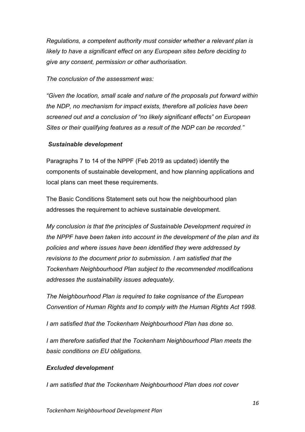*Regulations, a competent authority must consider whether a relevant plan is likely to have a significant effect on any European sites before deciding to give any consent, permission or other authorisation.* 

#### *The conclusion of the assessment was:*

*"Given the location, small scale and nature of the proposals put forward within the NDP, no mechanism for impact exists, therefore all policies have been screened out and a conclusion of "no likely significant effects" on European Sites or their qualifying features as a result of the NDP can be recorded."*

#### *Sustainable development*

Paragraphs 7 to 14 of the NPPF (Feb 2019 as updated) identify the components of sustainable development, and how planning applications and local plans can meet these requirements.

The Basic Conditions Statement sets out how the neighbourhood plan addresses the requirement to achieve sustainable development.

*My conclusion is that the principles of Sustainable Development required in the NPPF have been taken into account in the development of the plan and its policies and where issues have been identified they were addressed by revisions to the document prior to submission. I am satisfied that the Tockenham Neighbourhood Plan subject to the recommended modifications addresses the sustainability issues adequately.*

*The Neighbourhood Plan is required to take cognisance of the European Convention of Human Rights and to comply with the Human Rights Act 1998.* 

*I am satisfied that the Tockenham Neighbourhood Plan has done so.*

*I am therefore satisfied that the Tockenham Neighbourhood Plan meets the basic conditions on EU obligations.* 

#### *Excluded development*

*I am satisfied that the Tockenham Neighbourhood Plan does not cover*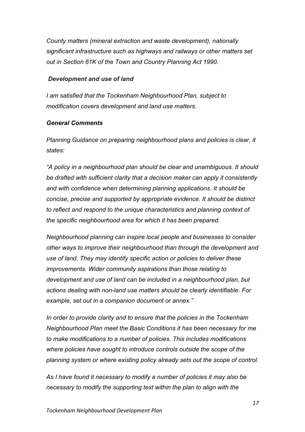*County matters (mineral extraction and waste development), nationally significant infrastructure such as highways and railways or other matters set out in Section 61K of the Town and Country Planning Act 1990.*

#### *Development and use of land*

*I am satisfied that the Tockenham Neighbourhood Plan, subject to modification covers development and land use matters.*

#### *General Comments*

*Planning Guidance on preparing neighbourhood plans and policies is clear, it states:*

*"A policy in a neighbourhood plan should be clear and unambiguous. It should be drafted with sufficient clarity that a decision maker can apply it consistently and with confidence when determining planning applications. It should be concise, precise and supported by appropriate evidence. It should be distinct to reflect and respond to the unique characteristics and planning context of the specific neighbourhood area for which it has been prepared.*

*Neighbourhood planning can inspire local people and businesses to consider other ways to improve their neighbourhood than through the development and use of land. They may identify specific action or policies to deliver these improvements. Wider community aspirations than those relating to development and use of land can be included in a neighbourhood plan, but actions dealing with non-land use matters should be clearly identifiable. For example, set out in a companion document or annex."*

*In order to provide clarity and to ensure that the policies in the Tockenham Neighbourhood Plan meet the Basic Conditions it has been necessary for me to make modifications to a number of policies. This includes modifications where policies have sought to introduce controls outside the scope of the planning system or where existing policy already sets out the scope of control.* 

*As I have found it necessary to modify a number of policies it may also be necessary to modify the supporting text within the plan to align with the*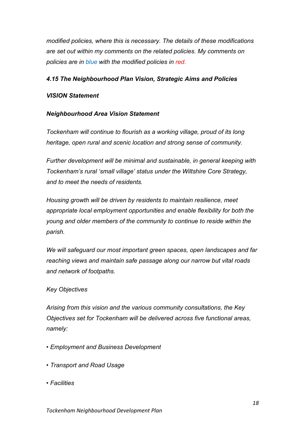*modified policies, where this is necessary. The details of these modifications are set out within my comments on the related policies. My comments on policies are in blue with the modified policies in red.*

## *4.15 The Neighbourhood Plan Vision, Strategic Aims and Policies*

#### *VISION Statement*

## *Neighbourhood Area Vision Statement*

*Tockenham will continue to flourish as a working village, proud of its long heritage, open rural and scenic location and strong sense of community.*

*Further development will be minimal and sustainable, in general keeping with Tockenham's rural 'small village' status under the Wiltshire Core Strategy, and to meet the needs of residents.*

*Housing growth will be driven by residents to maintain resilience, meet appropriate local employment opportunities and enable flexibility for both the young and older members of the community to continue to reside within the parish.*

*We will safeguard our most important green spaces, open landscapes and far reaching views and maintain safe passage along our narrow but vital roads and network of footpaths.*

#### *Key Objectives*

*Arising from this vision and the various community consultations, the Key Objectives set for Tockenham will be delivered across five functional areas, namely:*

- *Employment and Business Development*
- *Transport and Road Usage*
- *Facilities*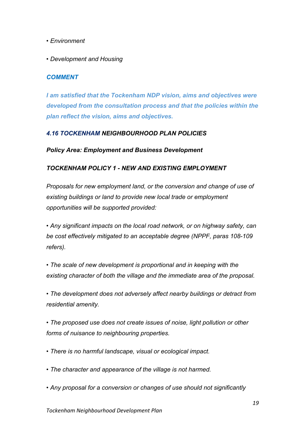- *Environment*
- *Development and Housing*

## *COMMENT*

*I am satisfied that the Tockenham NDP vision, aims and objectives were developed from the consultation process and that the policies within the plan reflect the vision, aims and objectives.*

## *4.16 TOCKENHAM NEIGHBOURHOOD PLAN POLICIES*

#### *Policy Area: Employment and Business Development*

#### *TOCKENHAM POLICY 1 - NEW AND EXISTING EMPLOYMENT*

*Proposals for new employment land, or the conversion and change of use of existing buildings or land to provide new local trade or employment opportunities will be supported provided:*

*• Any significant impacts on the local road network, or on highway safety, can be cost effectively mitigated to an acceptable degree (NPPF, paras 108-109 refers).*

*• The scale of new development is proportional and in keeping with the existing character of both the village and the immediate area of the proposal.*

*• The development does not adversely affect nearby buildings or detract from residential amenity.*

*• The proposed use does not create issues of noise, light pollution or other forms of nuisance to neighbouring properties.*

- *There is no harmful landscape, visual or ecological impact.*
- *The character and appearance of the village is not harmed.*
- *Any proposal for a conversion or changes of use should not significantly*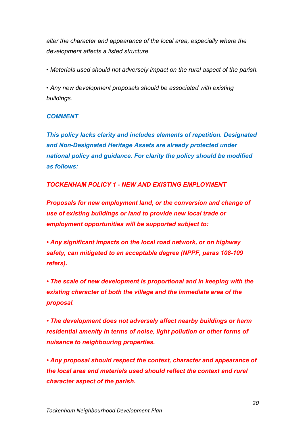*alter the character and appearance of the local area, especially where the development affects a listed structure.*

*• Materials used should not adversely impact on the rural aspect of the parish.*

*• Any new development proposals should be associated with existing buildings.* 

## *COMMENT*

*This policy lacks clarity and includes elements of repetition. Designated and Non-Designated Heritage Assets are already protected under national policy and guidance. For clarity the policy should be modified as follows:*

## *TOCKENHAM POLICY 1 - NEW AND EXISTING EMPLOYMENT*

*Proposals for new employment land, or the conversion and change of use of existing buildings or land to provide new local trade or employment opportunities will be supported subject to:*

*• Any significant impacts on the local road network, or on highway safety, can mitigated to an acceptable degree (NPPF, paras 108-109 refers).*

*• The scale of new development is proportional and in keeping with the existing character of both the village and the immediate area of the proposal.*

*• The development does not adversely affect nearby buildings or harm residential amenity in terms of noise, light pollution or other forms of nuisance to neighbouring properties.*

*• Any proposal should respect the context, character and appearance of the local area and materials used should reflect the context and rural character aspect of the parish.*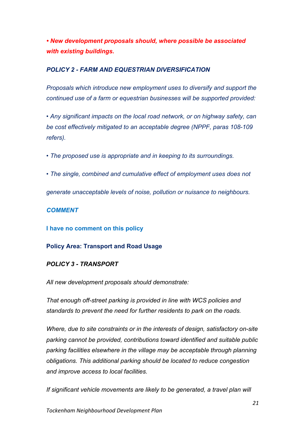*• New development proposals should, where possible be associated with existing buildings.* 

#### *POLICY 2 - FARM AND EQUESTRIAN DIVERSIFICATION*

*Proposals which introduce new employment uses to diversify and support the continued use of a farm or equestrian businesses will be supported provided:*

*• Any significant impacts on the local road network, or on highway safety, can be cost effectively mitigated to an acceptable degree (NPPF, paras 108-109 refers).*

*• The proposed use is appropriate and in keeping to its surroundings.*

*• The single, combined and cumulative effect of employment uses does not*

*generate unacceptable levels of noise, pollution or nuisance to neighbours.*

## *COMMENT*

**I have no comment on this policy**

## **Policy Area: Transport and Road Usage**

## *POLICY 3 - TRANSPORT*

*All new development proposals should demonstrate:*

*That enough off-street parking is provided in line with WCS policies and standards to prevent the need for further residents to park on the roads.*

*Where, due to site constraints or in the interests of design, satisfactory on-site parking cannot be provided, contributions toward identified and suitable public parking facilities elsewhere in the village may be acceptable through planning obligations. This additional parking should be located to reduce congestion and improve access to local facilities.*

*If significant vehicle movements are likely to be generated, a travel plan will*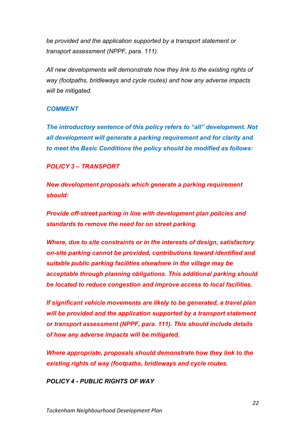*be provided and the application supported by a transport statement or transport assessment (NPPF, para. 111).*

*All new developments will demonstrate how they link to the existing rights of way (footpaths, bridleways and cycle routes) and how any adverse impacts will be mitigated.*

#### *COMMENT*

*The introductory sentence of this policy refers to "all" development. Not all development will generate a parking requirement and for clarity and to meet the Basic Conditions the policy should be modified as follows:*

## *POLICY 3 – TRANSPORT*

*New development proposals which generate a parking requirement should:*

*Provide off-street parking in line with development plan policies and standards to remove the need for on street parking.*

*Where, due to site constraints or in the interests of design, satisfactory on-site parking cannot be provided, contributions toward identified and suitable public parking facilities elsewhere in the village may be acceptable through planning obligations. This additional parking should be located to reduce congestion and improve access to local facilities.*

*If significant vehicle movements are likely to be generated, a travel plan will be provided and the application supported by a transport statement or transport assessment (NPPF, para. 111). This should include details of how any adverse impacts will be mitigated.*

*Where appropriate, proposals should demonstrate how they link to the existing rights of way (footpaths, bridleways and cycle routes.*

*POLICY 4 - PUBLIC RIGHTS OF WAY*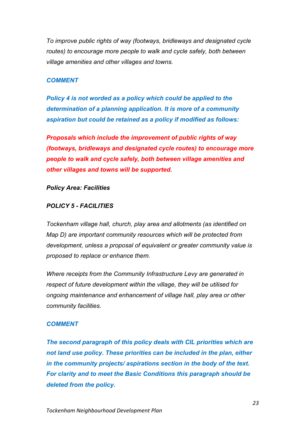*To improve public rights of way (footways, bridleways and designated cycle routes) to encourage more people to walk and cycle safely, both between village amenities and other villages and towns.*

#### *COMMENT*

*Policy 4 is not worded as a policy which could be applied to the determination of a planning application. It is more of a community aspiration but could be retained as a policy if modified as follows:*

*Proposals which include the improvement of public rights of way (footways, bridleways and designated cycle routes) to encourage more people to walk and cycle safely, both between village amenities and other villages and towns will be supported.*

#### *Policy Area: Facilities*

#### *POLICY 5 - FACILITIES*

*Tockenham village hall, church, play area and allotments (as identified on Map D) are important community resources which will be protected from development, unless a proposal of equivalent or greater community value is proposed to replace or enhance them.*

*Where receipts from the Community Infrastructure Levy are generated in respect of future development within the village, they will be utilised for ongoing maintenance and enhancement of village hall, play area or other community facilities.*

#### *COMMENT*

*The second paragraph of this policy deals with CIL priorities which are not land use policy. These priorities can be included in the plan, either in the community projects/ aspirations section in the body of the text. For clarity and to meet the Basic Conditions this paragraph should be deleted from the policy.*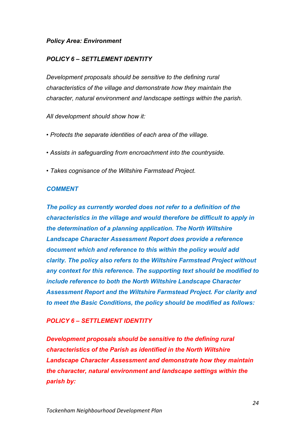#### *Policy Area: Environment*

## *POLICY 6 – SETTLEMENT IDENTITY*

*Development proposals should be sensitive to the defining rural characteristics of the village and demonstrate how they maintain the character, natural environment and landscape settings within the parish.*

*All development should show how it:*

- *Protects the separate identities of each area of the village.*
- *Assists in safeguarding from encroachment into the countryside.*
- *Takes cognisance of the Wiltshire Farmstead Project.*

#### *COMMENT*

*The policy as currently worded does not refer to a definition of the characteristics in the village and would therefore be difficult to apply in the determination of a planning application. The North Wiltshire Landscape Character Assessment Report does provide a reference document which and reference to this within the policy would add clarity. The policy also refers to the Wiltshire Farmstead Project without any context for this reference. The supporting text should be modified to include reference to both the North Wiltshire Landscape Character Assessment Report and the Wiltshire Farmstead Project. For clarity and to meet the Basic Conditions, the policy should be modified as follows:*

#### *POLICY 6 – SETTLEMENT IDENTITY*

*Development proposals should be sensitive to the defining rural characteristics of the Parish as identified in the North Wiltshire Landscape Character Assessment and demonstrate how they maintain the character, natural environment and landscape settings within the parish by:*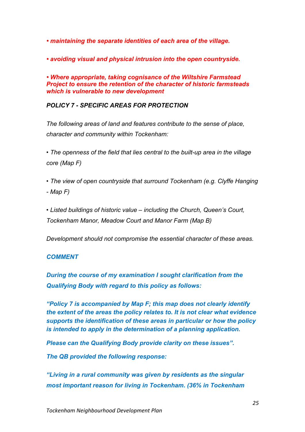*• maintaining the separate identities of each area of the village.*

*• avoiding visual and physical intrusion into the open countryside.*

*• Where appropriate, taking cognisance of the Wiltshire Farmstead Project to ensure the retention of the character of historic farmsteads which is vulnerable to new development*

#### *POLICY 7 - SPECIFIC AREAS FOR PROTECTION*

*The following areas of land and features contribute to the sense of place, character and community within Tockenham:*

*• The openness of the field that lies central to the built-up area in the village core (Map F)*

*• The view of open countryside that surround Tockenham (e.g. Clyffe Hanging - Map F)*

*• Listed buildings of historic value – including the Church, Queen's Court, Tockenham Manor, Meadow Court and Manor Farm (Map B)*

*Development should not compromise the essential character of these areas.*

#### *COMMENT*

*During the course of my examination I sought clarification from the Qualifying Body with regard to this policy as follows:*

*"Policy 7 is accompanied by Map F; this map does not clearly identify the extent of the areas the policy relates to. It is not clear what evidence supports the identification of these areas in particular or how the policy is intended to apply in the determination of a planning application.*

*Please can the Qualifying Body provide clarity on these issues".*

*The QB provided the following response:*

*"Living in a rural community was given by residents as the singular most important reason for living in Tockenham. (36% in Tockenham*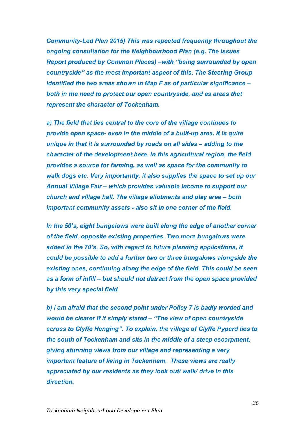*Community-Led Plan 2015) This was repeated frequently throughout the ongoing consultation for the Neighbourhood Plan (e.g. The Issues Report produced by Common Places) –with "being surrounded by open countryside" as the most important aspect of this. The Steering Group identified the two areas shown in Map F as of particular significance – both in the need to protect our open countryside, and as areas that represent the character of Tockenham.* 

*a) The field that lies central to the core of the village continues to provide open space- even in the middle of a built-up area. It is quite unique in that it is surrounded by roads on all sides – adding to the character of the development here. In this agricultural region, the field provides a source for farming, as well as space for the community to walk dogs etc. Very importantly, it also supplies the space to set up our Annual Village Fair – which provides valuable income to support our church and village hall. The village allotments and play area – both important community assets - also sit in one corner of the field.*

*In the 50's, eight bungalows were built along the edge of another corner of the field, opposite existing properties. Two more bungalows were added in the 70's. So, with regard to future planning applications, it could be possible to add a further two or three bungalows alongside the existing ones, continuing along the edge of the field. This could be seen as a form of infill – but should not detract from the open space provided by this very special field.* 

*b) I am afraid that the second point under Policy 7 is badly worded and would be clearer if it simply stated – "The view of open countryside across to Clyffe Hanging". To explain, the village of Clyffe Pypard lies to the south of Tockenham and sits in the middle of a steep escarpment, giving stunning views from our village and representing a very important feature of living in Tockenham. These views are really appreciated by our residents as they look out/ walk/ drive in this direction.*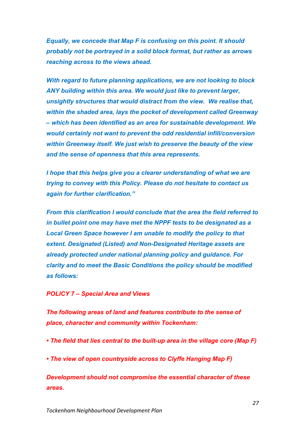*Equally, we concede that Map F is confusing on this point. It should probably not be portrayed in a solid block format, but rather as arrows reaching across to the views ahead.* 

*With regard to future planning applications, we are not looking to block ANY building within this area. We would just like to prevent larger, unsightly structures that would distract from the view. We realise that, within the shaded area, lays the pocket of development called Greenway – which has been identified as an area for sustainable development. We would certainly not want to prevent the odd residential infill/conversion within Greenway itself. We just wish to preserve the beauty of the view and the sense of openness that this area represents.*

*I hope that this helps give you a clearer understanding of what we are trying to convey with this Policy. Please do not hesitate to contact us again for further clarification."*

*From this clarification I would conclude that the area the field referred to in bullet point one may have met the NPPF tests to be designated as a Local Green Space however I am unable to modify the policy to that extent. Designated (Listed) and Non-Designated Heritage assets are already protected under national planning policy and guidance. For clarity and to meet the Basic Conditions the policy should be modified as follows:*

#### *POLICY 7 – Special Area and Views*

*The following areas of land and features contribute to the sense of place, character and community within Tockenham:*

- *The field that lies central to the built-up area in the village core (Map F)*
- *The view of open countryside across to Clyffe Hanging Map F)*

*Development should not compromise the essential character of these areas.*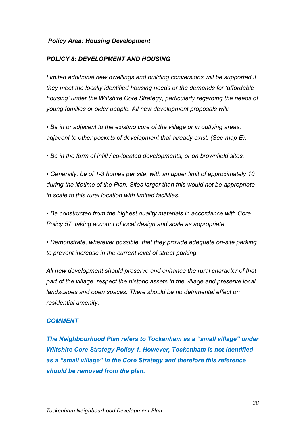#### *Policy Area: Housing Development*

#### *POLICY 8: DEVELOPMENT AND HOUSING*

*Limited additional new dwellings and building conversions will be supported if they meet the locally identified housing needs or the demands for 'affordable housing' under the Wiltshire Core Strategy, particularly regarding the needs of young families or older people. All new development proposals will:*

*• Be in or adjacent to the existing core of the village or in outlying areas, adjacent to other pockets of development that already exist. (See map E).*

*• Be in the form of infill / co-located developments, or on brownfield sites.*

*• Generally, be of 1-3 homes per site, with an upper limit of approximately 10 during the lifetime of the Plan. Sites larger than this would not be appropriate in scale to this rural location with limited facilities.*

*• Be constructed from the highest quality materials in accordance with Core Policy 57, taking account of local design and scale as appropriate.*

*• Demonstrate, wherever possible, that they provide adequate on-site parking to prevent increase in the current level of street parking.*

*All new development should preserve and enhance the rural character of that part of the village, respect the historic assets in the village and preserve local landscapes and open spaces. There should be no detrimental effect on residential amenity.*

#### *COMMENT*

*The Neighbourhood Plan refers to Tockenham as a "small village" under Wiltshire Core Strategy Policy 1. However, Tockenham is not identified as a "small village" in the Core Strategy and therefore this reference should be removed from the plan.*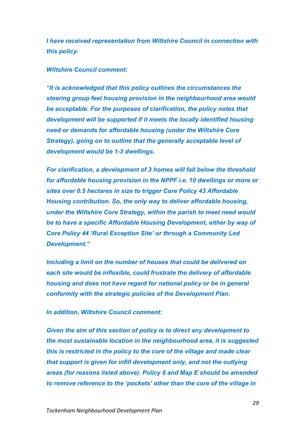*I have received representation from Wiltshire Council in connection with this policy.*

#### *Wiltshire Council comment:*

*"It is acknowledged that this policy outlines the circumstances the steering group feel housing provision in the neighbourhood area would be acceptable. For the purposes of clarification, the policy notes that development will be supported if it meets the locally identified housing need or demands for affordable housing (under the Wiltshire Core Strategy), going on to outline that the generally acceptable level of development would be 1-3 dwellings.*

*For clarification, a development of 3 homes will fall below the threshold for affordable housing provision in the NPPF i.e. 10 dwellings or more or sites over 0.5 hectares in size to trigger Core Policy 43 Affordable Housing contribution. So, the only way to deliver affordable housing, under the Wiltshire Core Strategy, within the parish to meet need would be to have a specific Affordable Housing Development, either by way of Core Policy 44 'Rural Exception Site' or through a Community Led Development."*

*Including a limit on the number of houses that could be delivered on each site would be inflexible, could frustrate the delivery of affordable housing and does not have regard for national policy or be in general conformity with the strategic policies of the Development Plan.*

#### *In addition, Wiltshire Council comment:*

*Given the aim of this section of policy is to direct any development to the most sustainable location in the neighbourhood area, it is suggested this is restricted in the policy to the core of the village and made clear that support is given for infill development only, and not the outlying areas (for reasons listed above). Policy 8 and Map E should be amended to remove reference to the 'pockets' other than the core of the village in*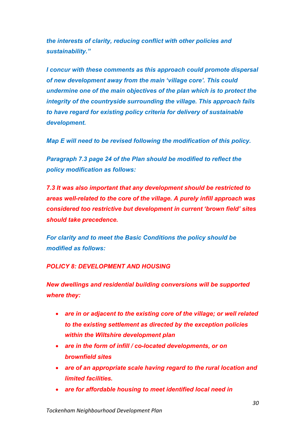*the interests of clarity, reducing conflict with other policies and sustainability."*

*I concur with these comments as this approach could promote dispersal of new development away from the main 'village core'. This could undermine one of the main objectives of the plan which is to protect the integrity of the countryside surrounding the village. This approach fails to have regard for existing policy criteria for delivery of sustainable development.*

*Map E will need to be revised following the modification of this policy.*

*Paragraph 7.3 page 24 of the Plan should be modified to reflect the policy modification as follows:*

*7.3 It was also important that any development should be restricted to areas well-related to the core of the village. A purely infill approach was considered too restrictive but development in current 'brown field' sites should take precedence.* 

*For clarity and to meet the Basic Conditions the policy should be modified as follows:*

#### *POLICY 8: DEVELOPMENT AND HOUSING*

*New dwellings and residential building conversions will be supported where they:*

- *are in or adjacent to the existing core of the village; or well related to the existing settlement as directed by the exception policies within the Wiltshire development plan*
- *are in the form of infill / co-located developments, or on brownfield sites*
- *are of an appropriate scale having regard to the rural location and limited facilities.*
- *are for affordable housing to meet identified local need in*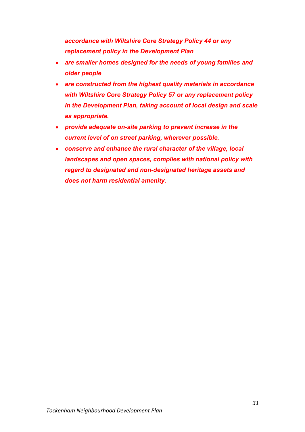*accordance with Wiltshire Core Strategy Policy 44 or any replacement policy in the Development Plan*

- *are smaller homes designed for the needs of young families and older people*
- *are constructed from the highest quality materials in accordance with Wiltshire Core Strategy Policy 57 or any replacement policy in the Development Plan, taking account of local design and scale as appropriate.*
- *provide adequate on-site parking to prevent increase in the current level of on street parking, wherever possible.*
- *conserve and enhance the rural character of the village, local landscapes and open spaces, complies with national policy with regard to designated and non-designated heritage assets and does not harm residential amenity.*